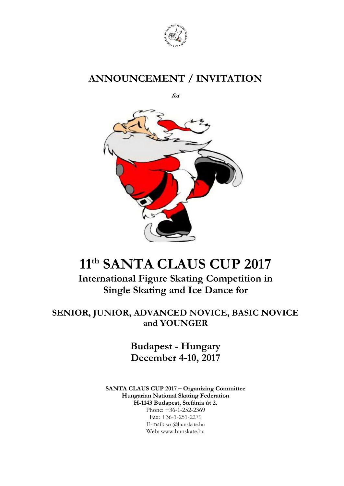

# **ANNOUNCEMENT / INVITATION**

**for**



# **11 th SANTA CLAUS CUP 2017**

**International Figure Skating Competition in Single Skating and Ice Dance for**

### **SENIOR, JUNIOR, ADVANCED NOVICE, BASIC NOVICE and YOUNGER**

**Budapest - Hungary December 4-10, 2017**

**SANTA CLAUS CUP 2017 – Organizing Committee Hungarian National Skating Federation H-1143 Budapest, Stefánia út 2.**  Phone: +36-1-252-2369 Fax: +36-1-251-2279 E-mail: [scc@hunskate.hu](mailto:scc@hunskate.hu)

Web: www.hunskate.hu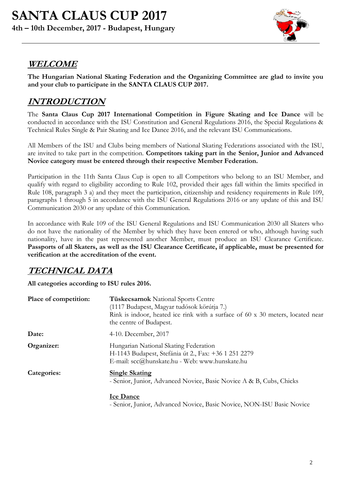

# **WELCOME**

**The Hungarian National Skating Federation and the Organizing Committee are glad to invite you and your club to participate in the SANTA CLAUS CUP 2017.**

# **INTRODUCTION**

The **Santa Claus Cup 2017 International Competition in Figure Skating and Ice Dance** will be conducted in accordance with the ISU Constitution and General Regulations 2016, the Special Regulations & Technical Rules Single & Pair Skating and Ice Dance 2016, and the relevant ISU Communications.

All Members of the ISU and Clubs being members of National Skating Federations associated with the ISU, are invited to take part in the competition. **Competitors taking part in the Senior, Junior and Advanced Novice category must be entered through their respective Member Federation.**

Participation in the 11th Santa Claus Cup is open to all Competitors who belong to an ISU Member, and qualify with regard to eligibility according to Rule 102, provided their ages fall within the limits specified in Rule 108, paragraph 3 a) and they meet the participation, citizenship and residency requirements in Rule 109, paragraphs 1 through 5 in accordance with the ISU General Regulations 2016 or any update of this and ISU Communication 2030 or any update of this Communication.

In accordance with Rule 109 of the ISU General Regulations and ISU Communication 2030 all Skaters who do not have the nationality of the Member by which they have been entered or who, although having such nationality, have in the past represented another Member, must produce an ISU Clearance Certificate. **Passports of all Skaters, as well as the ISU Clearance Certificate, if applicable, must be presented for verification at the accreditation of the event.**

## **TECHNICAL DATA**

**All categories according to ISU rules 2016.**

| Place of competition: | <b>Tüskecsarnok</b> National Sports Centre<br>(1117 Budapest, Magyar tudósok körútja 7.)<br>Rink is indoor, heated ice rink with a surface of $60 \times 30$ meters, located near<br>the centre of Budapest. |
|-----------------------|--------------------------------------------------------------------------------------------------------------------------------------------------------------------------------------------------------------|
| Date:                 | 4-10. December, 2017                                                                                                                                                                                         |
| Organizer:            | Hungarian National Skating Federation<br>H-1143 Budapest, Stefánia út 2., Fax: +36 1 251 2279<br>E-mail: scc@hunskate.hu - Web: www.hunskate.hu                                                              |
| Categories:           | <b>Single Skating</b><br>- Senior, Junior, Advanced Novice, Basic Novice A & B, Cubs, Chicks                                                                                                                 |
|                       | <b>Ice Dance</b>                                                                                                                                                                                             |

- Senior, Junior, Advanced Novice, Basic Novice, NON-ISU Basic Novice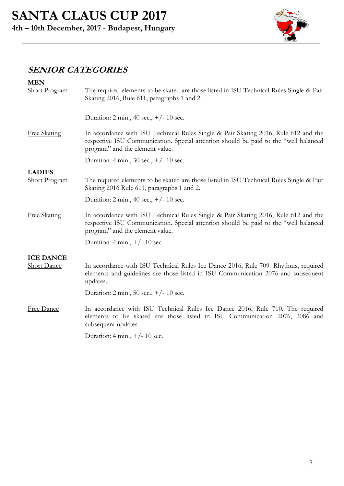

# **SENIOR CATEGORIES**

| <b>MEN</b><br><b>Short Program</b> | The required elements to be skated are those listed in ISU Technical Rules Single & Pair<br>Skating 2016, Rule 611, paragraphs 1 and 2.                                                                        |
|------------------------------------|----------------------------------------------------------------------------------------------------------------------------------------------------------------------------------------------------------------|
|                                    | Duration: 2 min., 40 sec., $+/- 10$ sec.                                                                                                                                                                       |
| <b>Free Skating</b>                | In accordance with ISU Technical Rules Single & Pair Skating 2016, Rule 612 and the<br>respective ISU Communication. Special attention should be paid to the "well balanced<br>program" and the element value. |
|                                    | Duration: 4 min., 30 sec., $+/- 10$ sec.                                                                                                                                                                       |
| <b>LADIES</b>                      |                                                                                                                                                                                                                |
| <b>Short Program</b>               | The required elements to be skated are those listed in ISU Technical Rules Single & Pair<br>Skating 2016 Rule 611, paragraphs 1 and 2.                                                                         |
|                                    | Duration: 2 min., 40 sec., $+/- 10$ sec.                                                                                                                                                                       |
| <b>Free Skating</b>                | In accordance with ISU Technical Rules Single & Pair Skating 2016, Rule 612 and the<br>respective ISU Communication. Special attention should be paid to the "well balanced<br>program" and the element value. |
|                                    | Duration: 4 min., $+/- 10$ sec.                                                                                                                                                                                |
| <b>ICE DANCE</b>                   |                                                                                                                                                                                                                |
| <b>Short Dance</b>                 | In accordance with ISU Technical Rules Ice Dance 2016, Rule 709. Rhythms, required<br>elements and guidelines are those listed in ISU Communication 2076 and subsequent<br>updates.                            |
|                                    | Duration: 2 min., 50 sec., $+/- 10$ sec.                                                                                                                                                                       |
| Free Dance                         | In accordance with ISU Technical Rules Ice Dance 2016, Rule 710. The required<br>elements to be skated are those listed in ISU Communication 2076, 2086 and<br>subsequent updates.                             |
|                                    | Duration: 4 min., $+/- 10$ sec.                                                                                                                                                                                |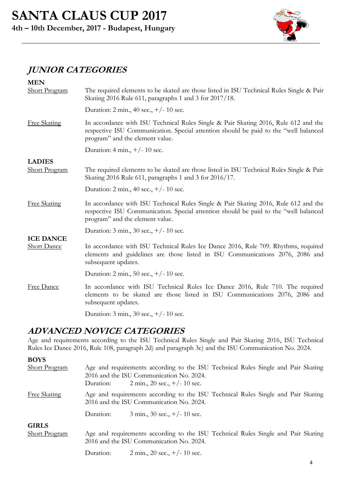

# **JUNIOR CATEGORIES**

| <b>MEN</b><br><b>Short Program</b>     | The required elements to be skated are those listed in ISU Technical Rules Single & Pair<br>Skating 2016 Rule 611, paragraphs 1 and 3 for 2017/18.                                                              |
|----------------------------------------|-----------------------------------------------------------------------------------------------------------------------------------------------------------------------------------------------------------------|
|                                        | Duration: 2 min., 40 sec., $+/- 10$ sec.                                                                                                                                                                        |
| <b>Free Skating</b>                    | In accordance with ISU Technical Rules Single & Pair Skating 2016, Rule 612 and the<br>respective ISU Communication. Special attention should be paid to the "well balanced"<br>program" and the element value. |
|                                        | Duration: 4 min., $+/- 10$ sec.                                                                                                                                                                                 |
| <b>LADIES</b><br><b>Short Program</b>  | The required elements to be skated are those listed in ISU Technical Rules Single & Pair<br>Skating 2016 Rule 611, paragraphs 1 and 3 for 2016/17.                                                              |
|                                        | Duration: 2 min., 40 sec., $+/- 10$ sec.                                                                                                                                                                        |
| <b>Free Skating</b>                    | In accordance with ISU Technical Rules Single & Pair Skating 2016, Rule 612 and the<br>respective ISU Communication. Special attention should be paid to the "well balanced<br>program" and the element value.  |
|                                        | Duration: $3 \text{ min.}$ , $30 \text{ sec.}$ , $+/-10 \text{ sec.}$                                                                                                                                           |
| <b>ICE DANCE</b><br><b>Short Dance</b> | In accordance with ISU Technical Rules Ice Dance 2016, Rule 709. Rhythms, required<br>elements and guidelines are those listed in ISU Communications 2076, 2086 and<br>subsequent updates.                      |
|                                        | Duration: 2 min., 50 sec., +/- 10 sec.                                                                                                                                                                          |
| <b>Free Dance</b>                      | In accordance with ISU Technical Rules Ice Dance 2016, Rule 710. The required<br>elements to be skated are those listed in ISU Communications 2076, 2086 and<br>subsequent updates.                             |
|                                        | Duration: $3 \text{ min.}$ , $30 \text{ sec.}$ , $+/-10 \text{ sec.}$                                                                                                                                           |

### **ADVANCED NOVICE CATEGORIES**

Age and requirements according to the ISU Technical Rules Single and Pair Skating 2016, ISU Technical Rules Ice Dance 2016, Rule 108, paragraph 2d) and paragraph 3c) and the ISU Communication No. 2024.

**BOYS**

| <b>Short Program</b>                 | Duration: | Age and requirements according to the ISU Technical Rules Single and Pair Skating<br>2016 and the ISU Communication No. 2024.<br>2 min., 20 sec., $+/- 10$ sec. |  |  |  |
|--------------------------------------|-----------|-----------------------------------------------------------------------------------------------------------------------------------------------------------------|--|--|--|
| <b>Free Skating</b>                  |           | Age and requirements according to the ISU Technical Rules Single and Pair Skating<br>2016 and the ISU Communication No. 2024.                                   |  |  |  |
|                                      | Duration: | $3 \text{ min.}$ , $30 \text{ sec.}$ , $+/-10 \text{ sec.}$                                                                                                     |  |  |  |
| <b>GIRLS</b><br><b>Short Program</b> |           | Age and requirements according to the ISU Technical Rules Single and Pair Skating<br>2016 and the ISU Communication No. 2024.                                   |  |  |  |
|                                      | Duration: | 2 min., 20 sec., $+/- 10$ sec.                                                                                                                                  |  |  |  |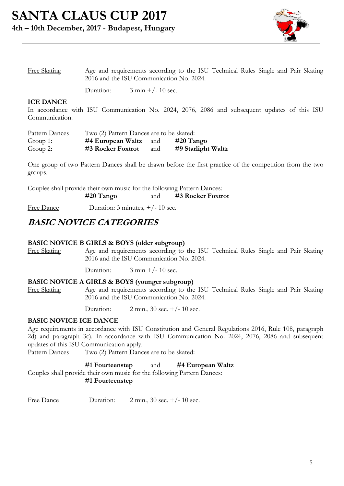

| Free Skating | Age and requirements according to the ISU Technical Rules Single and Pair Skating |
|--------------|-----------------------------------------------------------------------------------|
|              | 2016 and the ISU Communication No. 2024.                                          |

Duration:  $3 \text{ min} +/- 10 \text{ sec.}$ 

#### **ICE DANCE**

In accordance with ISU Communication No. 2024, 2076, 2086 and subsequent updates of this ISU Communication.

| Pattern Dances | Two (2) Pattern Dances are to be skated: |     |                    |
|----------------|------------------------------------------|-----|--------------------|
| Group 1:       | $#4$ European Waltz and                  |     | $#20$ Tango        |
| Group 2:       | #3 Rocker Foxtrot                        | and | #9 Starlight Waltz |

One group of two Pattern Dances shall be drawn before the first practice of the competition from the two groups.

Couples shall provide their own music for the following Pattern Dances: **#20 Tango** and **#3 Rocker Foxtrot**

Free Dance Duration: 3 minutes,  $+/- 10$  sec.

### **BASIC NOVICE CATEGORIES**

#### **BASIC NOVICE B GIRLS & BOYS (older subgroup)**

Free Skating Age and requirements according to the ISU Technical Rules Single and Pair Skating 2016 and the ISU Communication No. 2024.

Duration:  $3 \text{ min} +/- 10 \text{ sec.}$ 

#### **BASIC NOVICE A GIRLS & BOYS (younger subgroup)**

Free Skating Age and requirements according to the ISU Technical Rules Single and Pair Skating 2016 and the ISU Communication No. 2024.

Duration: 2 min., 30 sec. +/- 10 sec.

#### **BASIC NOVICE ICE DANCE**

Age requirements in accordance with ISU Constitution and General Regulations 2016, Rule 108, paragraph 2d) and paragraph 3c). In accordance with ISU Communication No. 2024, 2076, 2086 and subsequent updates of this ISU Communication apply.

Pattern Dances Two (2) Pattern Dances are to be skated:

**#1 Fourteenstep** and **#4 European Waltz**

Couples shall provide their own music for the following Pattern Dances: **#1 Fourteenstep**

Free Dance Duration:  $2 \text{ min.}$ ,  $30 \text{ sec.} +/-10 \text{ sec.}$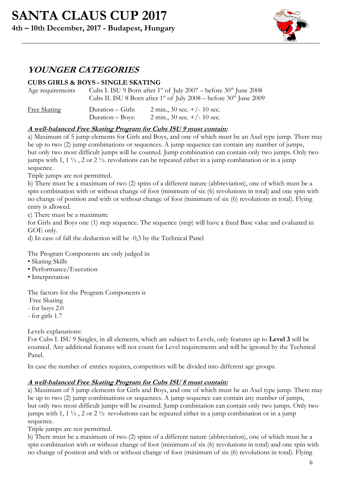

# **YOUNGER CATEGORIES**

### **CUBS GIRLS & BOYS - SINGLE SKATING**

| Age requirements    |                                       | Cubs I. ISU 9 Born after 1 <sup>st</sup> of July 2007 – before $30th$ June 2008<br>Cubs II. ISU 8 Born after 1 <sup>st</sup> of July 2008 – before $30th$ June 2009 |
|---------------------|---------------------------------------|---------------------------------------------------------------------------------------------------------------------------------------------------------------------|
| <b>Free Skating</b> | Duration – Girls:<br>Duration – Boys: | 2 min., 30 sec. $+/- 10$ sec.<br>2 min., 30 sec. $+/- 10$ sec.                                                                                                      |

### **A well-balanced Free Skating Program for Cubs ISU 9 must contain:**

a) Maximum of 5 jump elements for Girls and Boys, and one of which must be an Axel type jump. There may be up to two (2) jump combinations or sequences. A jump sequence can contain any number of jumps, but only two most difficult jumps will be counted. Jump combination can contain only two jumps. Only two jumps with 1, 1 ½ , 2 or 2 ½. revolutions can be repeated either in a jump combination or in a jump sequence.

Triple jumps are not permitted.

b) There must be a maximum of two (2) spins of a different nature (abbreviation), one of which must be a spin combination with or without change of foot (minimum of six (6) revolutions in total) and one spin with no change of position and with or without change of foot (minimum of six (6) revolutions in total). Flying entry is allowed.

c) There must be a maximum:

for Girls and Boys one (1) step sequence. The sequence (step) will have a fixed Base value and evaluated in GOE only.

d) In case of fall the deduction will be -0,5 by the Technical Panel

The Program Components are only judged in

- Skating Skills
- Performance/Execution
- Interpretation

The factors for the Program Components is

Free Skating

- for boys 2.0

- for girls 1.7

Levels explanations:

For Cubs I. ISU 9 Singles, in all elements, which are subject to Levels, only features up to **Level 3** will be counted. Any additional features will not count for Level requirements and will be ignored by the Technical Panel.

In case the number of entries requires, competitors will be divided into different age groups.

### **A well-balanced Free Skating Program for Cubs ISU 8 must contain:**

a) Maximum of 5 jump elements for Girls and Boys, and one of which must be an Axel type jump. There may be up to two (2) jump combinations or sequences. A jump sequence can contain any number of jumps, but only two most difficult jumps will be counted. Jump combination can contain only two jumps. Only two jumps with 1,  $1\frac{1}{2}$ ,  $2$  or  $2\frac{1}{2}$  revolutions can be repeated either in a jump combination or in a jump sequence.

Triple jumps are not permitted.

b) There must be a maximum of two (2) spins of a different nature (abbreviation), one of which must be a spin combination with or without change of foot (minimum of six (6) revolutions in total) and one spin with no change of position and with or without change of foot (minimum of six (6) revolutions in total). Flying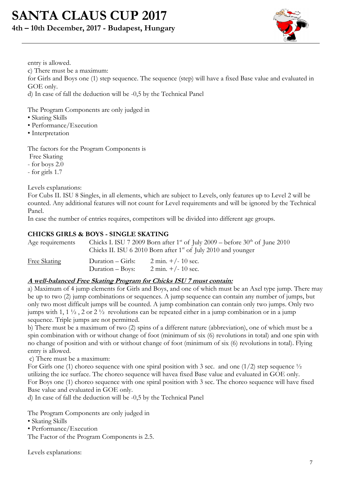# **SANTA CLAUS CUP 2017**

### **4th – 10th December, 2017 - Budapest, Hungary**



entry is allowed. c) There must be a maximum: for Girls and Boys one (1) step sequence. The sequence (step) will have a fixed Base value and evaluated in GOE only. d) In case of fall the deduction will be -0,5 by the Technical Panel

The Program Components are only judged in

- Skating Skills
- Performance/Execution
- Interpretation

The factors for the Program Components is

Free Skating

- for boys 2.0

- for girls 1.7

Levels explanations:

For Cubs II. ISU 8 Singles, in all elements, which are subject to Levels, only features up to Level 2 will be counted. Any additional features will not count for Level requirements and will be ignored by the Technical Panel.

In case the number of entries requires, competitors will be divided into different age groups.

### **CHICKS GIRLS & BOYS - SINGLE SKATING**

| Age requirements    |                                       | Chicks I. ISU 7 2009 Born after 1 <sup>st</sup> of July 2009 – before $30th$ of June 2010<br>Chicks II. ISU 6 2010 Born after $1st$ of July 2010 and younger |
|---------------------|---------------------------------------|--------------------------------------------------------------------------------------------------------------------------------------------------------------|
| <b>Free Skating</b> | Duration – Girls:<br>Duration – Boys: | $2 \text{ min.} +/- 10 \text{ sec.}$<br>$2 \text{ min.} +/- 10 \text{ sec.}$                                                                                 |

### **A well-balanced Free Skating Program for Chicks ISU 7 must contain:**

a) Maximum of 4 jump elements for Girls and Boys, and one of which must be an Axel type jump. There may be up to two (2) jump combinations or sequences. A jump sequence can contain any number of jumps, but only two most difficult jumps will be counted. A jump combination can contain only two jumps. Only two jumps with 1, 1 ½ , 2 or 2 ½ revolutions can be repeated either in a jump combination or in a jump sequence. Triple jumps are not permitted.

b) There must be a maximum of two (2) spins of a different nature (abbreviation), one of which must be a spin combination with or without change of foot (minimum of six (6) revolutions in total) and one spin with no change of position and with or without change of foot (minimum of six (6) revolutions in total). Flying entry is allowed.

c) There must be a maximum:

For Girls one (1) choreo sequence with one spiral position with 3 sec. and one (1/2) step sequence  $\frac{1}{2}$ utilizing the ice surface. The choreo sequence will havea fixed Base value and evaluated in GOE only. For Boys one (1) choreo sequence with one spiral position with 3 sec. The choreo sequence will have fixed Base value and evaluated in GOE only.

d) In case of fall the deduction will be -0,5 by the Technical Panel

The Program Components are only judged in

- Skating Skills
- Performance/Execution

The Factor of the Program Components is 2.5.

Levels explanations: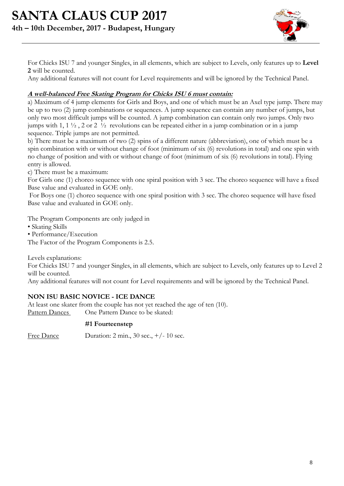

For Chicks ISU 7 and younger Singles, in all elements, which are subject to Levels, only features up to **Level 2** will be counted.

Any additional features will not count for Level requirements and will be ignored by the Technical Panel.

### **A well-balanced Free Skating Program for Chicks ISU 6 must contain:**

a) Maximum of 4 jump elements for Girls and Boys, and one of which must be an Axel type jump. There may be up to two (2) jump combinations or sequences. A jump sequence can contain any number of jumps, but only two most difficult jumps will be counted. A jump combination can contain only two jumps. Only two jumps with 1,  $1\frac{1}{2}$ , 2 or 2  $\frac{1}{2}$  revolutions can be repeated either in a jump combination or in a jump sequence. Triple jumps are not permitted.

b) There must be a maximum of two (2) spins of a different nature (abbreviation), one of which must be a spin combination with or without change of foot (minimum of six (6) revolutions in total) and one spin with no change of position and with or without change of foot (minimum of six (6) revolutions in total). Flying entry is allowed.

c) There must be a maximum:

For Girls one (1) choreo sequence with one spiral position with 3 sec. The choreo sequence will have a fixed Base value and evaluated in GOE only.

For Boys one (1) choreo sequence with one spiral position with 3 sec. The choreo sequence will have fixed Base value and evaluated in GOE only.

The Program Components are only judged in

- Skating Skills
- Performance/Execution

The Factor of the Program Components is 2.5.

Levels explanations:

For Chicks ISU 7 and younger Singles, in all elements, which are subject to Levels, only features up to Level 2 will be counted.

Any additional features will not count for Level requirements and will be ignored by the Technical Panel.

### **NON ISU BASIC NOVICE - ICE DANCE**

At least one skater from the couple has not yet reached the age of ten (10). Pattern Dances One Pattern Dance to be skated:

#### **#1 Fourteenstep**

Free Dance Duration: 2 min., 30 sec.,  $+/- 10$  sec.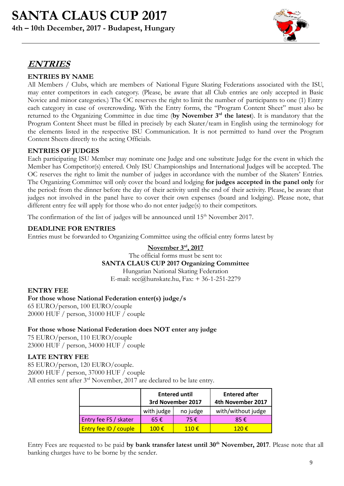

# **ENTRIES**

### **ENTRIES BY NAME**

All Members / Clubs, which are members of National Figure Skating Federations associated with the ISU, may enter competitors in each category. (Please, be aware that all Club entries are only accepted in Basic Novice and minor categories.) The OC reserves the right to limit the number of participants to one (1) Entry each category in case of overcrowding**.** With the Entry forms, the "Program Content Sheet" must also be returned to the Organizing Committee in due time (by November 3<sup>rd</sup> the latest). It is mandatory that the Program Content Sheet must be filled in precisely by each Skater/team in English using the terminology for the elements listed in the respective ISU Communication. It is not permitted to hand over the Program Content Sheets directly to the acting Officials.

### **ENTRIES OF JUDGES**

Each participating ISU Member may nominate one Judge and one substitute Judge for the event in which the Member has Competitor(s) entered. Only ISU Championships and International Judges will be accepted. The OC reserves the right to limit the number of judges in accordance with the number of the Skaters' Entries. The Organizing Committee will only cover the board and lodging **for judges accepted in the panel only** for the period: from the dinner before the day of their activity until the end of their activity. Please, be aware that judges not involved in the panel have to cover their own expenses (board and lodging). Please note, that different entry fee will apply for those who do not enter judge(s) to their competitors.

The confirmation of the list of judges will be announced until 15<sup>th</sup> November 2017.

### **DEADLINE FOR ENTRIES**

Entries must be forwarded to Organizing Committee using the official entry forms latest by

### **November 3 rd, 2017**

The official forms must be sent to:

### **SANTA CLAUS CUP 2017 Organizing Committee**

Hungarian National Skating Federation E-mail: [scc@hunskate.hu,](mailto:scc@hunskate.hu) Fax: + 36-1-251-2279

### **ENTRY FEE**

**For those whose National Federation enter(s) judge/s** 65 EURO/person, 100 EURO/couple 20000 HUF / person, 31000 HUF / couple

### **For those whose National Federation does NOT enter any judge**

75 EURO/person, 110 EURO/couple 23000 HUF / person, 34000 HUF / couple

### **LATE ENTRY FEE**

85 EURO/person, 120 EURO/couple. 26000 HUF / person, 37000 HUF / couple All entries sent after 3<sup>rd</sup> November, 2017 are declared to be late entry.

|                       | <b>Entered until</b><br>3rd November 2017 |                | <b>Entered after</b><br>4th November 2017 |
|-----------------------|-------------------------------------------|----------------|-------------------------------------------|
|                       | with judge                                | no judge       | with/without judge                        |
| Entry fee FS / skater | $65 \in$                                  | 75€            | 85€                                       |
| Entry fee ID / couple | $100 \text{ } \in$                        | 110 $\epsilon$ | 120 $\epsilon$                            |

Entry Fees are requested to be paid **by bank transfer latest until 30th November, 2017**. Please note that all banking charges have to be borne by the sender.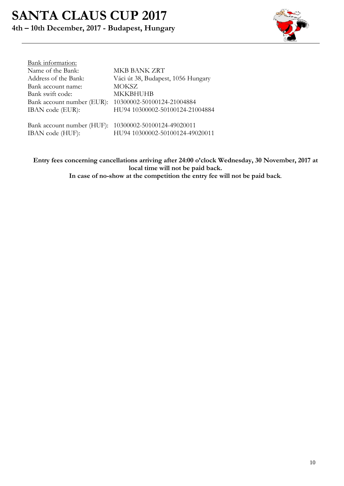# **SANTA CLAUS CUP 2017 4th – 10th December, 2017 - Budapest, Hungary**



| Bank information:          |                                    |
|----------------------------|------------------------------------|
| Name of the Bank:          | <b>MKB BANK ZRT</b>                |
| Address of the Bank:       | Váci út 38, Budapest, 1056 Hungary |
| Bank account name:         | <b>MOKSZ</b>                       |
| Bank swift code:           | MKKBHUHB                           |
| Bank account number (EUR): | 10300002-50100124-21004884         |
| IBAN code (EUR):           | HU94 10300002-50100124-21004884    |
|                            |                                    |
| Bank account number (HUF): | 10300002-50100124-49020011         |
| IBAN code (HUF):           | HU94 10300002-50100124-49020011    |

**Entry fees concerning cancellations arriving after 24:00 o'clock Wednesday, 30 November, 2017 at local time will not be paid back. In case of no-show at the competition the entry fee will not be paid back***.*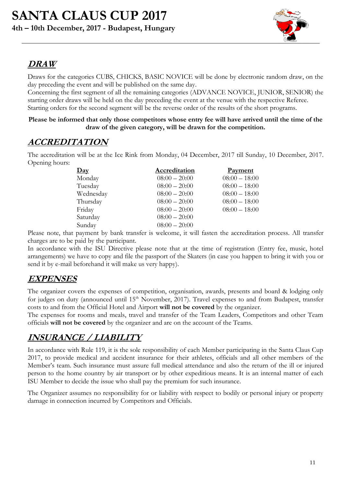

# **DRAW**

Draws for the categories CUBS, CHICKS, BASIC NOVICE will be done by electronic random draw, on the day preceding the event and will be published on the same day.

Concerning the first segment of all the remaining categories (ADVANCE NOVICE, JUNIOR, SENIOR) the starting order draws will be held on the day preceding the event at the venue with the respective Referee. Starting orders for the second segment will be the reverse order of the results of the short programs.

#### **Please be informed that only those competitors whose entry fee will have arrived until the time of the draw of the given category, will be drawn for the competition.**

## **ACCREDITATION**

The accreditation will be at the Ice Rink from Monday, 04 December, 2017 till Sunday, 10 December, 2017. Opening hours:

| $\mathbf{Day}$ | Accreditation   | <b>Payment</b>  |
|----------------|-----------------|-----------------|
| Monday         | $08:00 - 20:00$ | $08:00 - 18:00$ |
| Tuesday        | $08:00 - 20:00$ | $08:00 - 18:00$ |
| Wednesday      | $08:00 - 20:00$ | $08:00 - 18:00$ |
| Thursday       | $08:00 - 20:00$ | $08:00 - 18:00$ |
| Friday         | $08:00 - 20:00$ | $08:00 - 18:00$ |
| Saturday       | $08:00 - 20:00$ |                 |
| Sunday         | $08:00 - 20:00$ |                 |
|                |                 |                 |

Please note, that payment by bank transfer is welcome, it will fasten the accreditation process. All transfer charges are to be paid by the participant.

In accordance with the ISU Directive please note that at the time of registration (Entry fee, music, hotel arrangements) we have to copy and file the passport of the Skaters (in case you happen to bring it with you or send it by e-mail beforehand it will make us very happy).

# **EXPENSES**

The organizer covers the expenses of competition, organisation, awards, presents and board & lodging only for judges on duty (announced until 15<sup>th</sup> November, 2017). Travel expenses to and from Budapest, transfer costs to and from the Official Hotel and Airport **will not be covered** by the organizer.

The expenses for rooms and meals, travel and transfer of the Team Leaders, Competitors and other Team officials **will not be covered** by the organizer and are on the account of the Teams.

# **INSURANCE / LIABILITY**

In accordance with Rule 119, it is the sole responsibility of each Member participating in the Santa Claus Cup 2017, to provide medical and accident insurance for their athletes, officials and all other members of the Member's team. Such insurance must assure full medical attendance and also the return of the ill or injured person to the home country by air transport or by other expeditious means. It is an internal matter of each ISU Member to decide the issue who shall pay the premium for such insurance.

The Organizer assumes no responsibility for or liability with respect to bodily or personal injury or property damage in connection incurred by Competitors and Officials.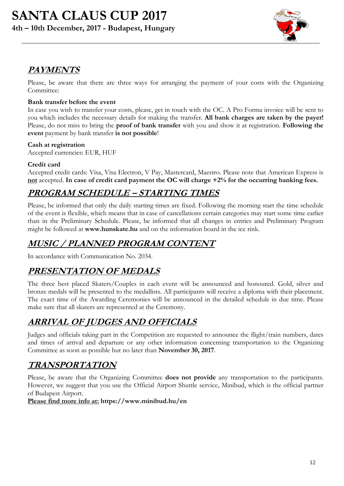

# **PAYMENTS**

Please, be aware that there are three ways for arranging the payment of your costs with the Organizing Committee:

### **Bank transfer before the event**

In case you wish to transfer your costs, please, get in touch with the OC. A Pro Forma invoice will be sent to you which includes the necessary details for making the transfer. **All bank charges are taken by the payer!** Please, do not miss to bring the **proof of bank transfer** with you and show it at registration. **Following the event** payment by bank transfer **is not possible**!

### **Cash at registration**

Accepted currencies: EUR, HUF

### **Credit card**

Accepted credit cards: Visa, Visa Electron, V Pay, Mastercard, Maestro. Please note that American Express is **not** accepted. **In case of credit card payment the OC will charge +2% for the occurring banking fees.**

# **PROGRAM SCHEDULE – STARTING TIMES**

Please, be informed that only the daily starting times are fixed. Following the morning start the time schedule of the event is flexible, which means that in case of cancellations certain categories may start some time earlier than in the Preliminary Schedule. Please, be informed that all changes in entries and Preliminary Program might be followed at **[www.hunskate.hu](http://www.hunskate.hu/)** and on the information board in the ice rink.

# **MUSIC / PLANNED PROGRAM CONTENT**

In accordance with Communication No. 2034.

# **PRESENTATION OF MEDALS**

The three best placed Skaters/Couples in each event will be announced and honoured. Gold, silver and bronze medals will be presented to the medallists. All participants will receive a diploma with their placement. The exact time of the Awarding Ceremonies will be announced in the detailed schedule in due time. Please make sure that all skaters are represented at the Ceremony.

# **ARRIVAL OF JUDGES AND OFFICIALS**

Judges and officials taking part in the Competition are requested to announce the flight/train numbers, dates and times of arrival and departure or any other information concerning transportation to the Organizing Committee as soon as possible but no later than **November 30, 2017**.

# **TRANSPORTATION**

Please, be aware that the Organizing Committee **does not provide** any transportation to the participants. However, we suggest that you use the Official Airport Shuttle service, Minibud, which is the official partner of Budapest Airport.

**Please find more info at: <https://www.minibud.hu/en>**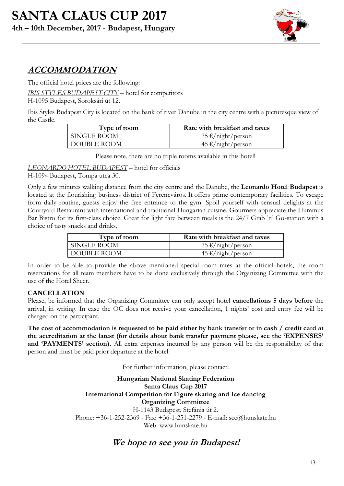

# **ACCOMMODATION**

The official hotel prices are the following:

*IBIS STYLES BUDAPEST CITY* – hotel for competitors

H-1095 Budapest, Soroksári út 12.

Ibis Styles Budapest City is located on the bank of river Danube in the city centre with a picturesque view of the Castle.

| Type of room | Rate with breakfast and taxes |
|--------------|-------------------------------|
| SINGLE ROOM  | 75 €/night/person             |
| DOUBLE ROOM  | $45 \text{€/night/person}$    |

Please note, there are no triple rooms available in this hotel!

*LEONARDO HOTEL BUDAPEST* – hotel for officials

H-1094 Budapest, Tompa utca 30.

Only a few minutes walking distance from the city centre and the Danube, the **Leonardo Hotel Budapest** is located at the flourishing business district of Ferencváros. It offers prime contemporary facilities. To escape from daily routine, guests enjoy the free entrance to the gym. Spoil yourself with sensual delights at the Courtyard Restaurant with international and traditional Hungarian cuisine. Gourmets appreciate the Hummus Bar Bistro for its first-class choice. Great for light fare between meals is the 24/7 Grab 'n' Go-station with a choice of tasty snacks and drinks.

| Type of room | Rate with breakfast and taxes |
|--------------|-------------------------------|
| SINGLE ROOM  | 75 €/night/person             |
| DOUBLE ROOM  | $45 \text{€/night/person}$    |

In order to be able to provide the above mentioned special room rates at the official hotels, the room reservations for all team members have to be done exclusively through the Organizing Committee with the use of the Hotel Sheet.

### **CANCELLATION**

Please, be informed that the Organizing Committee can only accept hotel **cancellations 5 days before** the arrival, in writing. In case the OC does not receive your cancellation, 1 nights' cost and entry fee will be charged on the participant.

**The cost of accommodation is requested to be paid either by bank transfer or in cash / credit card at the accreditation at the latest (for details about bank transfer payment please, see the 'EXPENSES' and 'PAYMENTS' section).** All extra expenses incurred by any person will be the responsibility of that person and must be paid prior departure at the hotel.

For further information, please contact:

**Hungarian National Skating Federation Santa Claus Cup 2017 International Competition for Figure skating and Ice dancing Organizing Committee** H-1143 Budapest, Stefánia út 2. Phone: +36-1-252-2369 - Fax: +36-1-251-2279 - E-mail: scc@hunskate.hu Web: www.hunskate.hu

### **We hope to see you in Budapest!**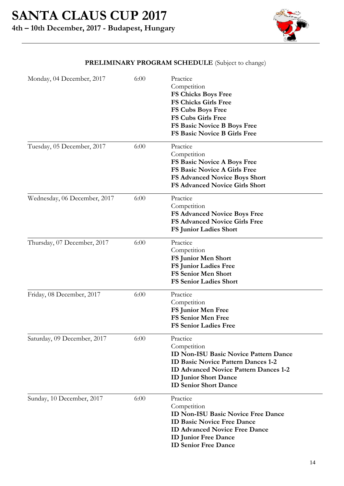

### **PRELIMINARY PROGRAM SCHEDULE** (Subject to change)

| Monday, 04 December, 2017    | 6:00 | Practice<br>Competition<br><b>FS Chicks Boys Free</b><br><b>FS Chicks Girls Free</b><br>FS Cubs Boys Free<br><b>FS Cubs Girls Free</b><br>FS Basic Novice B Boys Free<br><b>FS Basic Novice B Girls Free</b>                         |
|------------------------------|------|--------------------------------------------------------------------------------------------------------------------------------------------------------------------------------------------------------------------------------------|
| Tuesday, 05 December, 2017   | 6:00 | Practice<br>Competition<br>FS Basic Novice A Boys Free<br><b>FS Basic Novice A Girls Free</b><br><b>FS Advanced Novice Boys Short</b><br><b>FS Advanced Novice Girls Short</b>                                                       |
| Wednesday, 06 December, 2017 | 6:00 | Practice<br>Competition<br><b>FS Advanced Novice Boys Free</b><br>FS Advanced Novice Girls Free<br><b>FS Junior Ladies Short</b>                                                                                                     |
| Thursday, 07 December, 2017  | 6:00 | Practice<br>Competition<br>FS Junior Men Short<br><b>FS Junior Ladies Free</b><br><b>FS Senior Men Short</b><br><b>FS Senior Ladies Short</b>                                                                                        |
| Friday, 08 December, 2017    | 6:00 | Practice<br>Competition<br>FS Junior Men Free<br><b>FS Senior Men Free</b><br><b>FS Senior Ladies Free</b>                                                                                                                           |
| Saturday, 09 December, 2017  | 6:00 | Practice<br>Competition<br><b>ID Non-ISU Basic Novice Pattern Dance</b><br><b>ID Basic Novice Pattern Dances 1-2</b><br><b>ID Advanced Novice Pattern Dances 1-2</b><br><b>ID Junior Short Dance</b><br><b>ID Senior Short Dance</b> |
| Sunday, 10 December, 2017    | 6:00 | Practice<br>Competition<br><b>ID Non-ISU Basic Novice Free Dance</b><br><b>ID Basic Novice Free Dance</b><br><b>ID Advanced Novice Free Dance</b><br><b>ID Junior Free Dance</b><br><b>ID Senior Free Dance</b>                      |